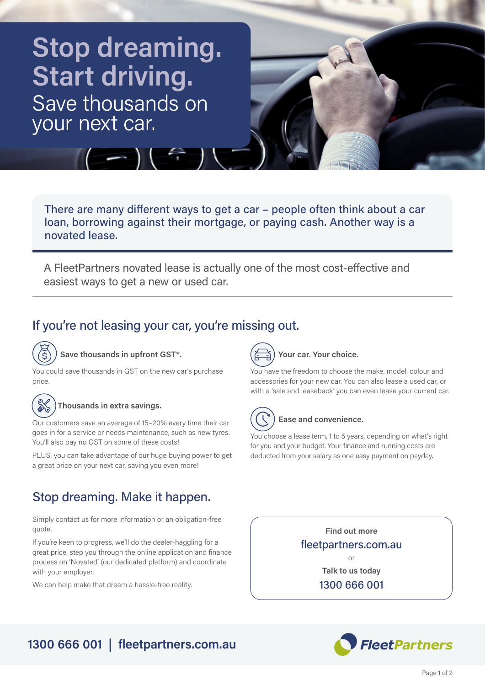# **Stop dreaming. Start driving.** Save thousands on your next car.



There are many different ways to get a car – people often think about a car loan, borrowing against their mortgage, or paying cash. Another way is a novated lease.

A FleetPartners novated lease is actually one of the most cost-effective and easiest ways to get a new or used car.

# If you're not leasing your car, you're missing out.



**Save thousands in upfront GST\*.**

You could save thousands in GST on the new car's purchase price.



#### **Thousands in extra savings.**

Our customers save an average of 15–20% every time their car goes in for a service or needs maintenance, such as new tyres. You'll also pay no GST on some of these costs!

PLUS, you can take advantage of our huge buying power to get a great price on your next car, saving you even more!

# Stop dreaming. Make it happen.

Simply contact us for more information or an obligation-free quote.

If you're keen to progress, we'll do the dealer-haggling for a great price, step you through the online application and finance process on 'Novated' (our dedicated platform) and coordinate with your employer.

We can help make that dream a hassle-free reality.

**Your car. Your choice.**

You have the freedom to choose the make, model, colour and accessories for your new car. You can also lease a used car, or with a 'sale and leaseback' you can even lease your current car.



### **Ease and convenience.**

You choose a lease term, 1 to 5 years, depending on what's right for you and your budget. Your finance and running costs are deducted from your salary as one easy payment on payday.

> **Find out more** fleetpartners.com.au

> > **Talk to us today** 1300 666 001

or



# **1300 666 001 | fleetpartners.com.au**